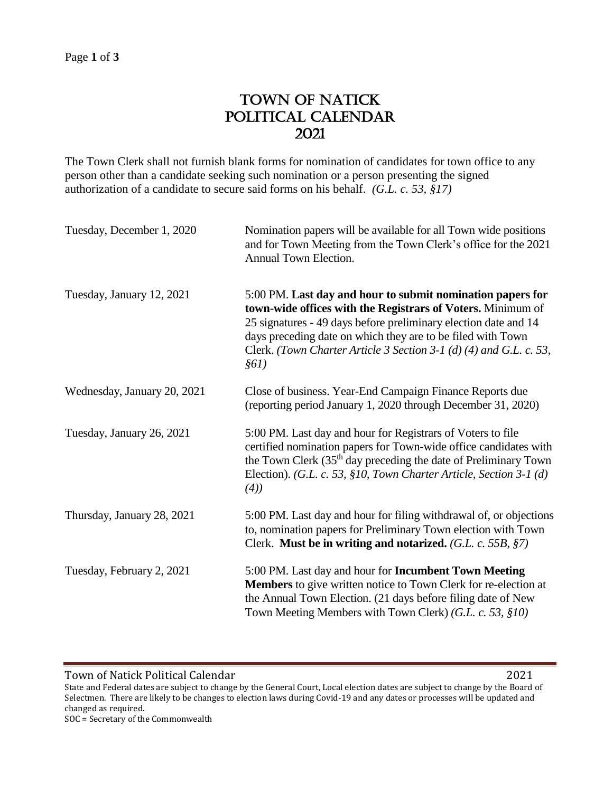## TOWN OF NATICK POLITICAL CALENDAR 2021

The Town Clerk shall not furnish blank forms for nomination of candidates for town office to any person other than a candidate seeking such nomination or a person presenting the signed authorization of a candidate to secure said forms on his behalf. *(G.L. c. 53, §17)*

| Tuesday, December 1, 2020   | Nomination papers will be available for all Town wide positions<br>and for Town Meeting from the Town Clerk's office for the 2021<br>Annual Town Election.                                                                                                                                                                                 |
|-----------------------------|--------------------------------------------------------------------------------------------------------------------------------------------------------------------------------------------------------------------------------------------------------------------------------------------------------------------------------------------|
| Tuesday, January 12, 2021   | 5:00 PM. Last day and hour to submit nomination papers for<br>town-wide offices with the Registrars of Voters. Minimum of<br>25 signatures - 49 days before preliminary election date and 14<br>days preceding date on which they are to be filed with Town<br>Clerk. (Town Charter Article 3 Section 3-1 (d) (4) and G.L. c. 53,<br>\$61) |
| Wednesday, January 20, 2021 | Close of business. Year-End Campaign Finance Reports due<br>(reporting period January 1, 2020 through December 31, 2020)                                                                                                                                                                                                                   |
| Tuesday, January 26, 2021   | 5:00 PM. Last day and hour for Registrars of Voters to file<br>certified nomination papers for Town-wide office candidates with<br>the Town Clerk $(35th$ day preceding the date of Preliminary Town<br>Election). (G.L. c. 53, §10, Town Charter Article, Section 3-1 (d)<br>(4)                                                          |
| Thursday, January 28, 2021  | 5:00 PM. Last day and hour for filing withdrawal of, or objections<br>to, nomination papers for Preliminary Town election with Town<br>Clerk. Must be in writing and notarized. (G.L. c. 55B, §7)                                                                                                                                          |
| Tuesday, February 2, 2021   | 5:00 PM. Last day and hour for <b>Incumbent Town Meeting</b><br><b>Members</b> to give written notice to Town Clerk for re-election at<br>the Annual Town Election. (21 days before filing date of New<br>Town Meeting Members with Town Clerk) (G.L. c. 53, §10)                                                                          |

Town of Natick Political Calendar 2021

State and Federal dates are subject to change by the General Court, Local election dates are subject to change by the Board of Selectmen. There are likely to be changes to election laws during Covid-19 and any dates or processes will be updated and changed as required.

SOC = Secretary of the Commonwealth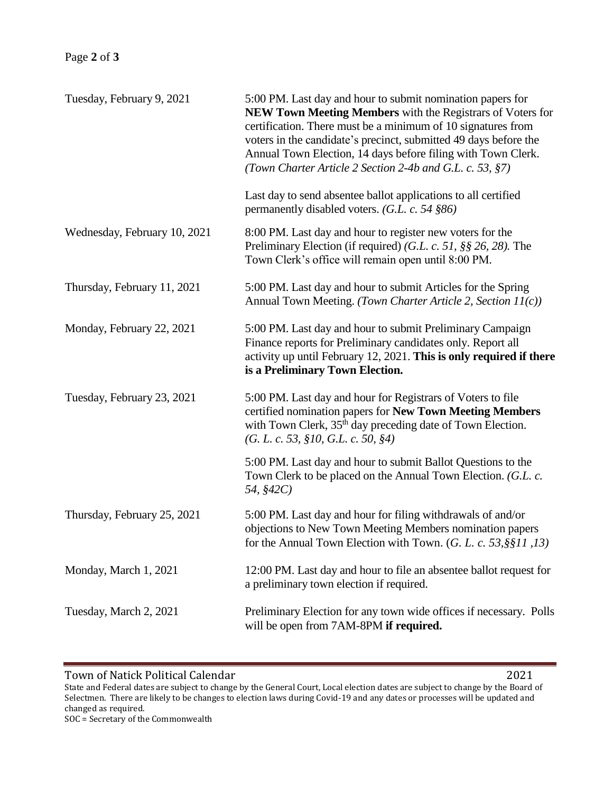| Tuesday, February 9, 2021    | 5:00 PM. Last day and hour to submit nomination papers for<br>NEW Town Meeting Members with the Registrars of Voters for<br>certification. There must be a minimum of 10 signatures from<br>voters in the candidate's precinct, submitted 49 days before the<br>Annual Town Election, 14 days before filing with Town Clerk.<br>(Town Charter Article 2 Section 2-4b and G.L. c. 53, §7) |
|------------------------------|------------------------------------------------------------------------------------------------------------------------------------------------------------------------------------------------------------------------------------------------------------------------------------------------------------------------------------------------------------------------------------------|
|                              | Last day to send absentee ballot applications to all certified<br>permanently disabled voters. $(G.L. c. 54 \text{ } \$86)$                                                                                                                                                                                                                                                              |
| Wednesday, February 10, 2021 | 8:00 PM. Last day and hour to register new voters for the<br>Preliminary Election (if required) (G.L. c. 51, $\S$ $\S$ 26, 28). The<br>Town Clerk's office will remain open until 8:00 PM.                                                                                                                                                                                               |
| Thursday, February 11, 2021  | 5:00 PM. Last day and hour to submit Articles for the Spring<br>Annual Town Meeting. (Town Charter Article 2, Section 11(c))                                                                                                                                                                                                                                                             |
| Monday, February 22, 2021    | 5:00 PM. Last day and hour to submit Preliminary Campaign<br>Finance reports for Preliminary candidates only. Report all<br>activity up until February 12, 2021. This is only required if there<br>is a Preliminary Town Election.                                                                                                                                                       |
| Tuesday, February 23, 2021   | 5:00 PM. Last day and hour for Registrars of Voters to file<br>certified nomination papers for New Town Meeting Members<br>with Town Clerk, 35 <sup>th</sup> day preceding date of Town Election.<br>(G. L. c. 53, §10, G.L. c. 50, §4)                                                                                                                                                  |
|                              | 5:00 PM. Last day and hour to submit Ballot Questions to the<br>Town Clerk to be placed on the Annual Town Election. (G.L. c.<br>54, §42C)                                                                                                                                                                                                                                               |
| Thursday, February 25, 2021  | 5:00 PM. Last day and hour for filing withdrawals of and/or<br>objections to New Town Meeting Members nomination papers<br>for the Annual Town Election with Town. (G. L. c. 53, §§11, 13)                                                                                                                                                                                               |
| Monday, March 1, 2021        | 12:00 PM. Last day and hour to file an absentee ballot request for<br>a preliminary town election if required.                                                                                                                                                                                                                                                                           |
| Tuesday, March 2, 2021       | Preliminary Election for any town wide offices if necessary. Polls<br>will be open from 7AM-8PM if required.                                                                                                                                                                                                                                                                             |
|                              |                                                                                                                                                                                                                                                                                                                                                                                          |

Town of Natick Political Calendar 2021

State and Federal dates are subject to change by the General Court, Local election dates are subject to change by the Board of Selectmen. There are likely to be changes to election laws during Covid-19 and any dates or processes will be updated and changed as required.

SOC = Secretary of the Commonwealth